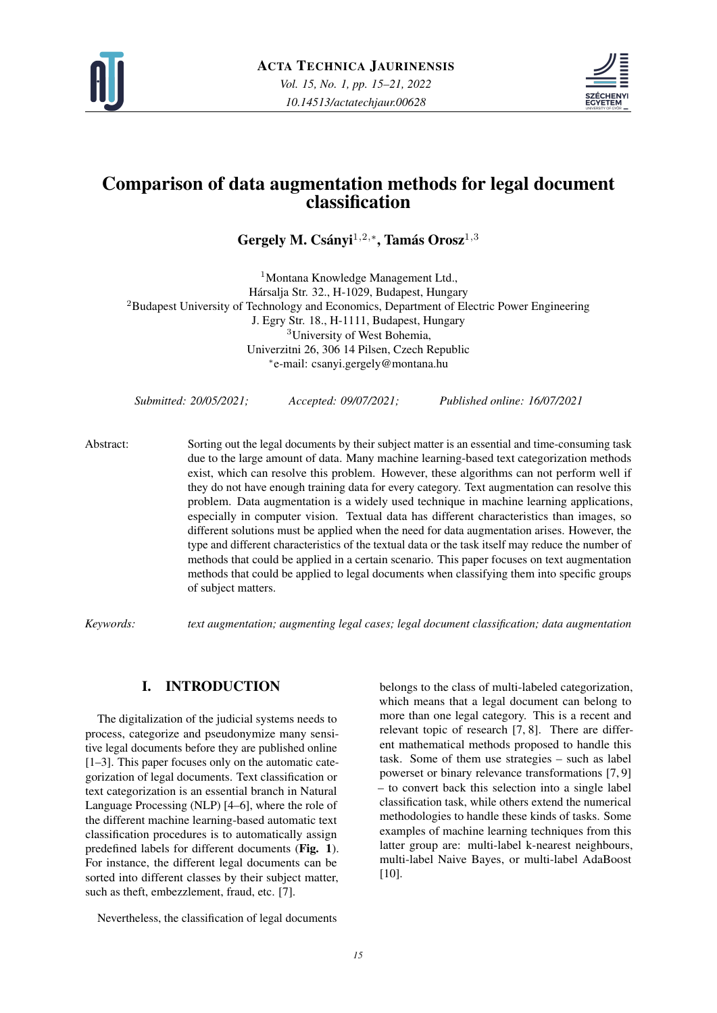



# Comparison of data augmentation methods for legal document classification

Gergely M. Csányi<sup>1,2,∗</sup>, Tamás Orosz<sup>1,3</sup>

<sup>1</sup>Montana Knowledge Management Ltd., Harsalja Str. 32., H-1029, Budapest, Hungary ´ <sup>2</sup>Budapest University of Technology and Economics, Department of Electric Power Engineering J. Egry Str. 18., H-1111, Budapest, Hungary <sup>3</sup>University of West Bohemia, Univerzitni 26, 306 14 Pilsen, Czech Republic ∗ e-mail: csanyi.gergely@montana.hu

*Submitted: 20/05/2021; Accepted: 09/07/2021; Published online: 16/07/2021*

Abstract: Sorting out the legal documents by their subject matter is an essential and time-consuming task due to the large amount of data. Many machine learning-based text categorization methods exist, which can resolve this problem. However, these algorithms can not perform well if they do not have enough training data for every category. Text augmentation can resolve this problem. Data augmentation is a widely used technique in machine learning applications, especially in computer vision. Textual data has different characteristics than images, so different solutions must be applied when the need for data augmentation arises. However, the type and different characteristics of the textual data or the task itself may reduce the number of methods that could be applied in a certain scenario. This paper focuses on text augmentation methods that could be applied to legal documents when classifying them into specific groups of subject matters.

*Keywords: text augmentation; augmenting legal cases; legal document classification; data augmentation*

# I. INTRODUCTION

The digitalization of the judicial systems needs to process, categorize and pseudonymize many sensitive legal documents before they are published online [\[1](#page-4-0)[–3\]](#page-4-1). This paper focuses only on the automatic categorization of legal documents. Text classification or text categorization is an essential branch in Natural Language Processing (NLP) [\[4](#page-4-2)[–6\]](#page-4-3), where the role of the different machine learning-based automatic text classification procedures is to automatically assign predefined labels for different documents (Fig. [1](#page-1-0)). For instance, the different legal documents can be sorted into different classes by their subject matter, such as theft, embezzlement, fraud, etc. [\[7\]](#page-4-4).

Nevertheless, the classification of legal documents

belongs to the class of multi-labeled categorization, which means that a legal document can belong to more than one legal category. This is a recent and relevant topic of research [\[7,](#page-4-4) [8\]](#page-5-0). There are different mathematical methods proposed to handle this task. Some of them use strategies – such as label powerset or binary relevance transformations [\[7,](#page-4-4) [9\]](#page-5-1) – to convert back this selection into a single label classification task, while others extend the numerical methodologies to handle these kinds of tasks. Some examples of machine learning techniques from this latter group are: multi-label k-nearest neighbours, multi-label Naive Bayes, or multi-label AdaBoost [\[10\]](#page-5-2).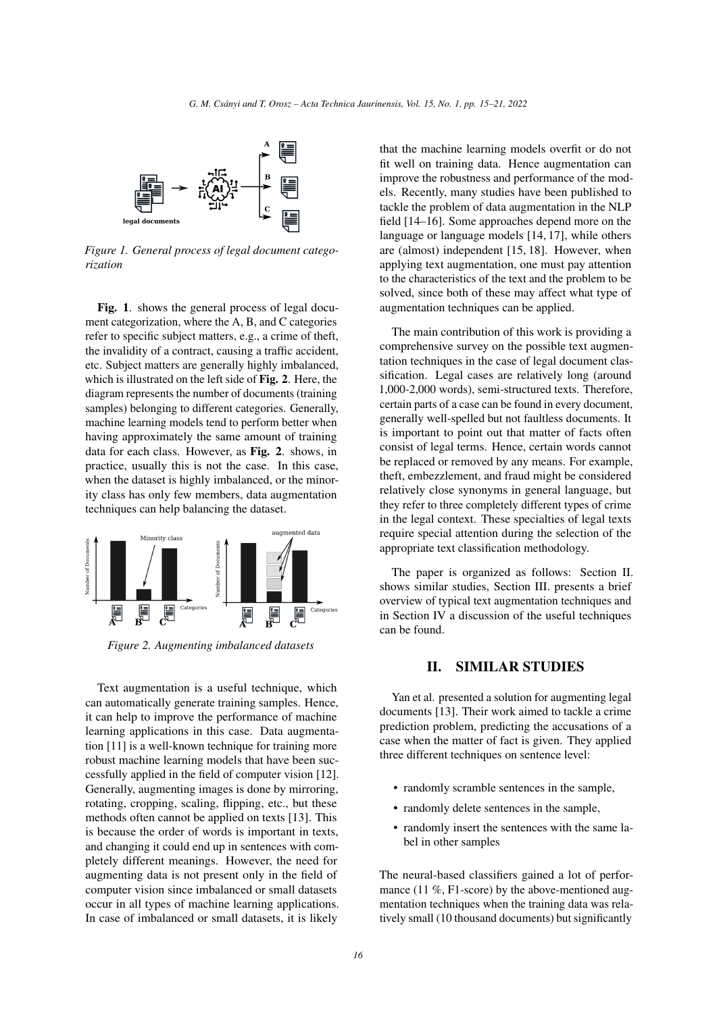<span id="page-1-0"></span>

*Figure 1. General process of legal document categorization*

Fig. [1](#page-1-0). shows the general process of legal document categorization, where the A, B, and C categories refer to specific subject matters, e.g., a crime of theft, the invalidity of a contract, causing a traffic accident, etc. Subject matters are generally highly imbalanced, which is illustrated on the left side of Fig. [2](#page-1-1). Here, the diagram represents the number of documents (training samples) belonging to different categories. Generally, machine learning models tend to perform better when having approximately the same amount of training data for each class. However, as Fig. [2](#page-1-1). shows, in practice, usually this is not the case. In this case, when the dataset is highly imbalanced, or the minority class has only few members, data augmentation techniques can help balancing the dataset.

<span id="page-1-1"></span>

*Figure 2. Augmenting imbalanced datasets*

Text augmentation is a useful technique, which can automatically generate training samples. Hence, it can help to improve the performance of machine learning applications in this case. Data augmentation [\[11\]](#page-5-3) is a well-known technique for training more robust machine learning models that have been successfully applied in the field of computer vision [\[12\]](#page-5-4). Generally, augmenting images is done by mirroring, rotating, cropping, scaling, flipping, etc., but these methods often cannot be applied on texts [\[13\]](#page-5-5). This is because the order of words is important in texts, and changing it could end up in sentences with completely different meanings. However, the need for augmenting data is not present only in the field of computer vision since imbalanced or small datasets occur in all types of machine learning applications. In case of imbalanced or small datasets, it is likely

that the machine learning models overfit or do not fit well on training data. Hence augmentation can improve the robustness and performance of the models. Recently, many studies have been published to tackle the problem of data augmentation in the NLP field [\[14–](#page-5-6)[16\]](#page-5-7). Some approaches depend more on the language or language models [\[14,](#page-5-6) [17\]](#page-5-8), while others are (almost) independent [\[15,](#page-5-9) [18\]](#page-5-10). However, when applying text augmentation, one must pay attention to the characteristics of the text and the problem to be solved, since both of these may affect what type of augmentation techniques can be applied.

The main contribution of this work is providing a comprehensive survey on the possible text augmentation techniques in the case of legal document classification. Legal cases are relatively long (around 1,000-2,000 words), semi-structured texts. Therefore, certain parts of a case can be found in every document, generally well-spelled but not faultless documents. It is important to point out that matter of facts often consist of legal terms. Hence, certain words cannot be replaced or removed by any means. For example, theft, embezzlement, and fraud might be considered relatively close synonyms in general language, but they refer to three completely different types of crime in the legal context. These specialties of legal texts require special attention during the selection of the appropriate text classification methodology.

The paper is organized as follows: Section [II.](#page-1-2) shows similar studies, Section [III.](#page-2-0) presents a brief overview of typical text augmentation techniques and in Section [IV](#page-3-0) a discussion of the useful techniques can be found.

### <span id="page-1-2"></span>II. SIMILAR STUDIES

Yan et al. presented a solution for augmenting legal documents [\[13\]](#page-5-5). Their work aimed to tackle a crime prediction problem, predicting the accusations of a case when the matter of fact is given. They applied three different techniques on sentence level:

- randomly scramble sentences in the sample,
- randomly delete sentences in the sample,
- randomly insert the sentences with the same label in other samples

The neural-based classifiers gained a lot of performance (11 %, F1-score) by the above-mentioned augmentation techniques when the training data was relatively small (10 thousand documents) but significantly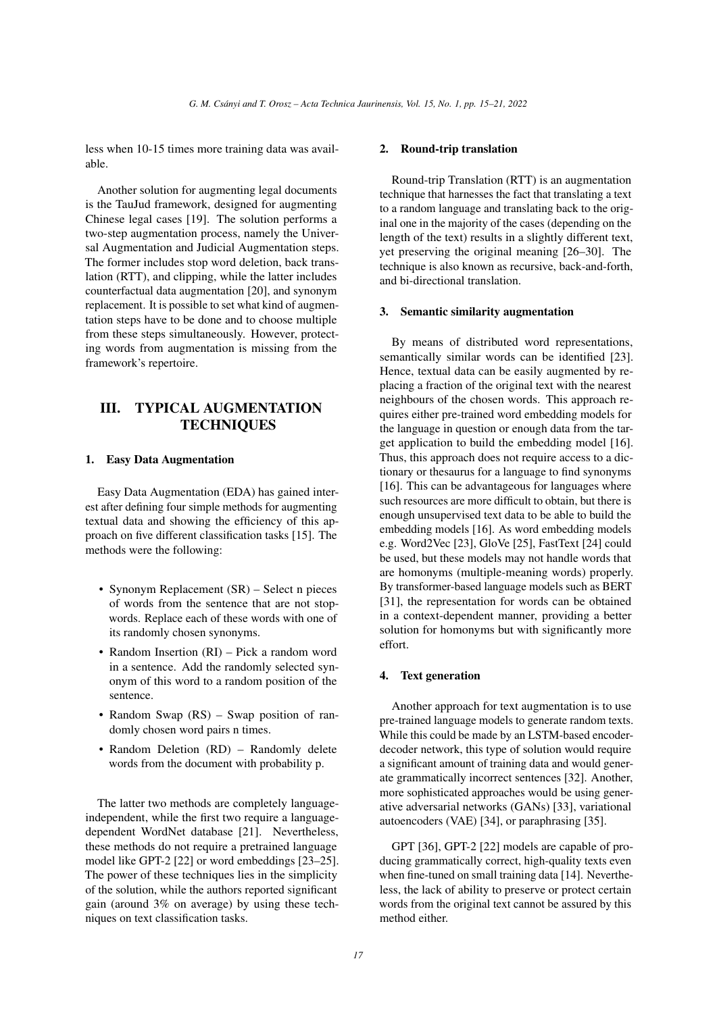less when 10-15 times more training data was available.

Another solution for augmenting legal documents is the TauJud framework, designed for augmenting Chinese legal cases [\[19\]](#page-5-11). The solution performs a two-step augmentation process, namely the Universal Augmentation and Judicial Augmentation steps. The former includes stop word deletion, back translation (RTT), and clipping, while the latter includes counterfactual data augmentation [\[20\]](#page-5-12), and synonym replacement. It is possible to set what kind of augmentation steps have to be done and to choose multiple from these steps simultaneously. However, protecting words from augmentation is missing from the framework's repertoire.

# <span id="page-2-0"></span>III. TYPICAL AUGMENTATION **TECHNIQUES**

### 1. Easy Data Augmentation

Easy Data Augmentation (EDA) has gained interest after defining four simple methods for augmenting textual data and showing the efficiency of this approach on five different classification tasks [\[15\]](#page-5-9). The methods were the following:

- Synonym Replacement (SR) Select n pieces of words from the sentence that are not stopwords. Replace each of these words with one of its randomly chosen synonyms.
- Random Insertion (RI) Pick a random word in a sentence. Add the randomly selected synonym of this word to a random position of the sentence.
- Random Swap (RS) Swap position of randomly chosen word pairs n times.
- Random Deletion (RD) Randomly delete words from the document with probability p.

The latter two methods are completely languageindependent, while the first two require a languagedependent WordNet database [\[21\]](#page-5-13). Nevertheless, these methods do not require a pretrained language model like GPT-2 [\[22\]](#page-5-14) or word embeddings [\[23–](#page-5-15)[25\]](#page-5-16). The power of these techniques lies in the simplicity of the solution, while the authors reported significant gain (around 3% on average) by using these techniques on text classification tasks.

#### 2. Round-trip translation

Round-trip Translation (RTT) is an augmentation technique that harnesses the fact that translating a text to a random language and translating back to the original one in the majority of the cases (depending on the length of the text) results in a slightly different text, yet preserving the original meaning [\[26](#page-5-17)[–30\]](#page-6-0). The technique is also known as recursive, back-and-forth, and bi-directional translation.

#### 3. Semantic similarity augmentation

By means of distributed word representations, semantically similar words can be identified [\[23\]](#page-5-15). Hence, textual data can be easily augmented by replacing a fraction of the original text with the nearest neighbours of the chosen words. This approach requires either pre-trained word embedding models for the language in question or enough data from the target application to build the embedding model [\[16\]](#page-5-7). Thus, this approach does not require access to a dictionary or thesaurus for a language to find synonyms [\[16\]](#page-5-7). This can be advantageous for languages where such resources are more difficult to obtain, but there is enough unsupervised text data to be able to build the embedding models [\[16\]](#page-5-7). As word embedding models e.g. Word2Vec [\[23\]](#page-5-15), GloVe [\[25\]](#page-5-16), FastText [\[24\]](#page-5-18) could be used, but these models may not handle words that are homonyms (multiple-meaning words) properly. By transformer-based language models such as BERT [\[31\]](#page-6-1), the representation for words can be obtained in a context-dependent manner, providing a better solution for homonyms but with significantly more effort.

#### 4. Text generation

Another approach for text augmentation is to use pre-trained language models to generate random texts. While this could be made by an LSTM-based encoderdecoder network, this type of solution would require a significant amount of training data and would generate grammatically incorrect sentences [\[32\]](#page-6-2). Another, more sophisticated approaches would be using generative adversarial networks (GANs) [\[33\]](#page-6-3), variational autoencoders (VAE) [\[34\]](#page-6-4), or paraphrasing [\[35\]](#page-6-5).

GPT [\[36\]](#page-6-6), GPT-2 [\[22\]](#page-5-14) models are capable of producing grammatically correct, high-quality texts even when fine-tuned on small training data [\[14\]](#page-5-6). Nevertheless, the lack of ability to preserve or protect certain words from the original text cannot be assured by this method either.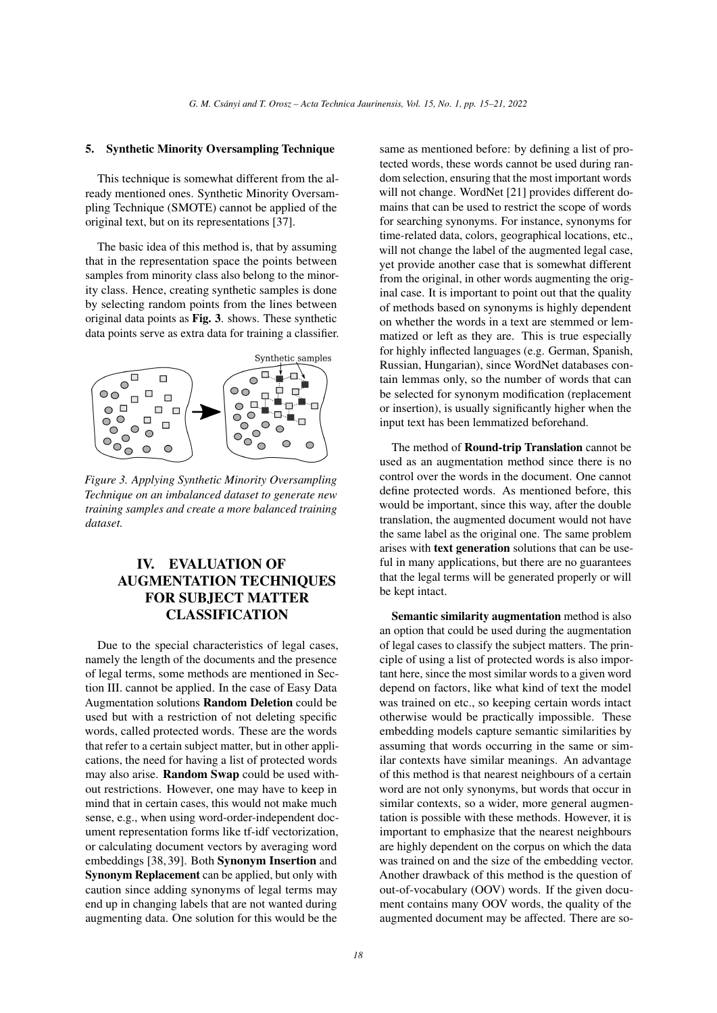#### 5. Synthetic Minority Oversampling Technique

This technique is somewhat different from the already mentioned ones. Synthetic Minority Oversampling Technique (SMOTE) cannot be applied of the original text, but on its representations [\[37\]](#page-6-7).

The basic idea of this method is, that by assuming that in the representation space the points between samples from minority class also belong to the minority class. Hence, creating synthetic samples is done by selecting random points from the lines between original data points as Fig. [3](#page-3-1). shows. These synthetic data points serve as extra data for training a classifier.

<span id="page-3-1"></span>

*Figure 3. Applying Synthetic Minority Oversampling Technique on an imbalanced dataset to generate new training samples and create a more balanced training dataset.*

# <span id="page-3-0"></span>IV. EVALUATION OF AUGMENTATION TECHNIQUES FOR SUBJECT MATTER CLASSIFICATION

Due to the special characteristics of legal cases, namely the length of the documents and the presence of legal terms, some methods are mentioned in Section [III.](#page-2-0) cannot be applied. In the case of Easy Data Augmentation solutions Random Deletion could be used but with a restriction of not deleting specific words, called protected words. These are the words that refer to a certain subject matter, but in other applications, the need for having a list of protected words may also arise. Random Swap could be used without restrictions. However, one may have to keep in mind that in certain cases, this would not make much sense, e.g., when using word-order-independent document representation forms like tf-idf vectorization, or calculating document vectors by averaging word embeddings [\[38,](#page-6-8) [39\]](#page-6-9). Both Synonym Insertion and Synonym Replacement can be applied, but only with caution since adding synonyms of legal terms may end up in changing labels that are not wanted during augmenting data. One solution for this would be the

same as mentioned before: by defining a list of protected words, these words cannot be used during random selection, ensuring that the most important words will not change. WordNet [\[21\]](#page-5-13) provides different domains that can be used to restrict the scope of words for searching synonyms. For instance, synonyms for time-related data, colors, geographical locations, etc., will not change the label of the augmented legal case, yet provide another case that is somewhat different from the original, in other words augmenting the original case. It is important to point out that the quality of methods based on synonyms is highly dependent on whether the words in a text are stemmed or lemmatized or left as they are. This is true especially for highly inflected languages (e.g. German, Spanish, Russian, Hungarian), since WordNet databases contain lemmas only, so the number of words that can be selected for synonym modification (replacement or insertion), is usually significantly higher when the input text has been lemmatized beforehand.

The method of Round-trip Translation cannot be used as an augmentation method since there is no control over the words in the document. One cannot define protected words. As mentioned before, this would be important, since this way, after the double translation, the augmented document would not have the same label as the original one. The same problem arises with **text generation** solutions that can be useful in many applications, but there are no guarantees that the legal terms will be generated properly or will be kept intact.

Semantic similarity augmentation method is also an option that could be used during the augmentation of legal cases to classify the subject matters. The principle of using a list of protected words is also important here, since the most similar words to a given word depend on factors, like what kind of text the model was trained on etc., so keeping certain words intact otherwise would be practically impossible. These embedding models capture semantic similarities by assuming that words occurring in the same or similar contexts have similar meanings. An advantage of this method is that nearest neighbours of a certain word are not only synonyms, but words that occur in similar contexts, so a wider, more general augmentation is possible with these methods. However, it is important to emphasize that the nearest neighbours are highly dependent on the corpus on which the data was trained on and the size of the embedding vector. Another drawback of this method is the question of out-of-vocabulary (OOV) words. If the given document contains many OOV words, the quality of the augmented document may be affected. There are so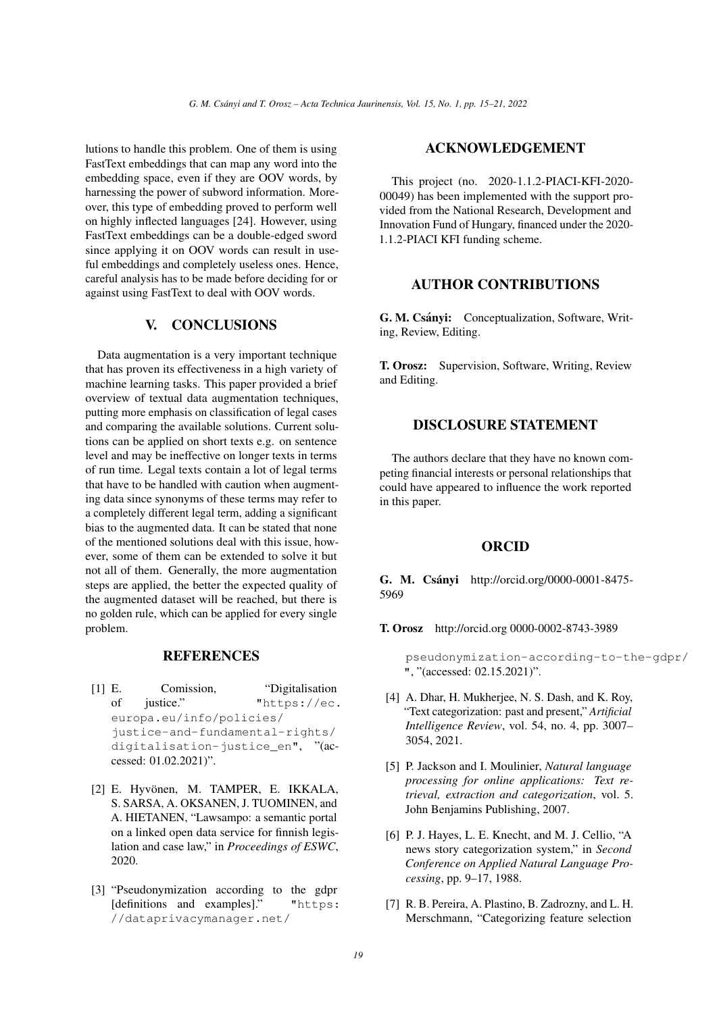lutions to handle this problem. One of them is using FastText embeddings that can map any word into the embedding space, even if they are OOV words, by harnessing the power of subword information. Moreover, this type of embedding proved to perform well on highly inflected languages [\[24\]](#page-5-18). However, using FastText embeddings can be a double-edged sword since applying it on OOV words can result in useful embeddings and completely useless ones. Hence, careful analysis has to be made before deciding for or against using FastText to deal with OOV words.

# V. CONCLUSIONS

Data augmentation is a very important technique that has proven its effectiveness in a high variety of machine learning tasks. This paper provided a brief overview of textual data augmentation techniques, putting more emphasis on classification of legal cases and comparing the available solutions. Current solutions can be applied on short texts e.g. on sentence level and may be ineffective on longer texts in terms of run time. Legal texts contain a lot of legal terms that have to be handled with caution when augmenting data since synonyms of these terms may refer to a completely different legal term, adding a significant bias to the augmented data. It can be stated that none of the mentioned solutions deal with this issue, however, some of them can be extended to solve it but not all of them. Generally, the more augmentation steps are applied, the better the expected quality of the augmented dataset will be reached, but there is no golden rule, which can be applied for every single problem.

### **REFERENCES**

- <span id="page-4-0"></span>[1] E. Comission, "Digitalisation of justice." ["https://ec.]("https://ec.europa.eu/info/policies/justice-and-fundamental-rights/digitalisation-justice_en") [europa.eu/info/policies/]("https://ec.europa.eu/info/policies/justice-and-fundamental-rights/digitalisation-justice_en") [justice-and-fundamental-rights/]("https://ec.europa.eu/info/policies/justice-and-fundamental-rights/digitalisation-justice_en") [digitalisation-justice\\_en"]("https://ec.europa.eu/info/policies/justice-and-fundamental-rights/digitalisation-justice_en"), "(accessed: 01.02.2021)".
- [2] E. Hyvönen, M. TAMPER, E. IKKALA, S. SARSA, A. OKSANEN, J. TUOMINEN, and A. HIETANEN, "Lawsampo: a semantic portal on a linked open data service for finnish legislation and case law," in *Proceedings of ESWC*, 2020.
- <span id="page-4-1"></span>[3] "Pseudonymization according to the gdpr [definitions and examples]." ["https:]("https://dataprivacymanager.net/pseudonymization-according-to-the-gdpr/") [//dataprivacymanager.net/]("https://dataprivacymanager.net/pseudonymization-according-to-the-gdpr/")

### ACKNOWLEDGEMENT

This project (no. 2020-1.1.2-PIACI-KFI-2020- 00049) has been implemented with the support provided from the National Research, Development and Innovation Fund of Hungary, financed under the 2020- 1.1.2-PIACI KFI funding scheme.

# AUTHOR CONTRIBUTIONS

G. M. Csánvi: Conceptualization, Software, Writing, Review, Editing.

T. Orosz: Supervision, Software, Writing, Review and Editing.

#### DISCLOSURE STATEMENT

The authors declare that they have no known competing financial interests or personal relationships that could have appeared to influence the work reported in this paper.

### ORCID

G. M. Csányi http://orcid.org/0000-0001-8475-5969

T. Orosz http://orcid.org 0000-0002-8743-3989

[pseudonymization-according-to-th]("https://dataprivacymanager.net/pseudonymization-according-to-the-gdpr/")e-gdpr/ ["]("https://dataprivacymanager.net/pseudonymization-according-to-the-gdpr/"), "(accessed: 02.15.2021)".

- <span id="page-4-2"></span>[4] A. Dhar, H. Mukherjee, N. S. Dash, and K. Roy, "Text categorization: past and present," *Artificial Intelligence Review*, vol. 54, no. 4, pp. 3007– 3054, 2021.
- [5] P. Jackson and I. Moulinier, *Natural language processing for online applications: Text retrieval, extraction and categorization*, vol. 5. John Benjamins Publishing, 2007.
- <span id="page-4-3"></span>[6] P. J. Hayes, L. E. Knecht, and M. J. Cellio, "A news story categorization system," in *Second Conference on Applied Natural Language Processing*, pp. 9–17, 1988.
- <span id="page-4-4"></span>[7] R. B. Pereira, A. Plastino, B. Zadrozny, and L. H. Merschmann, "Categorizing feature selection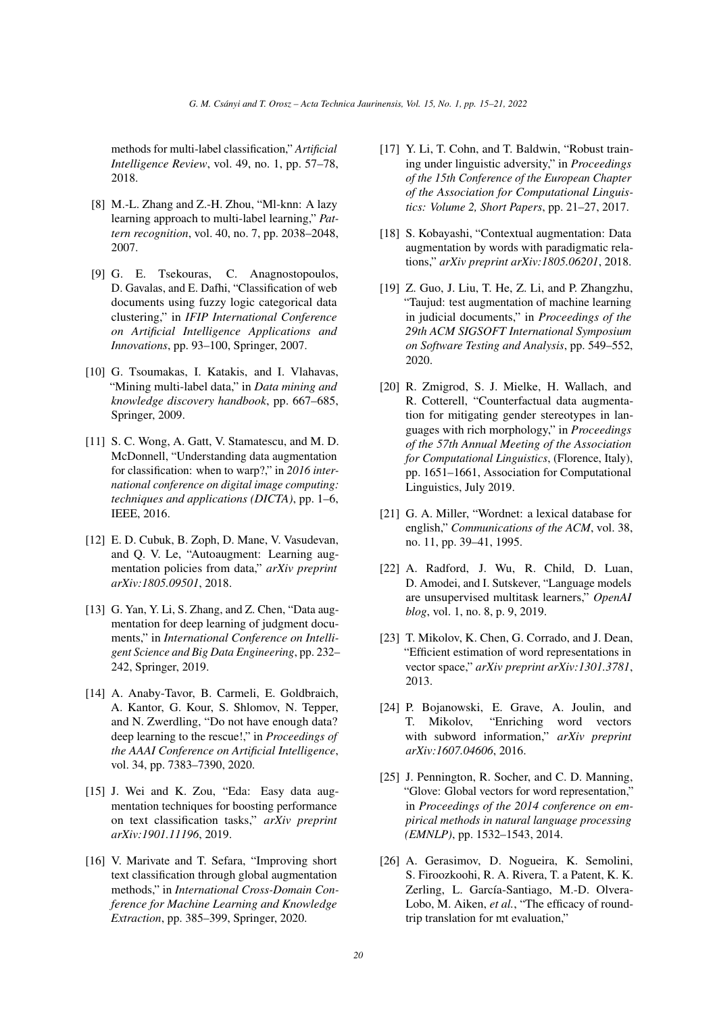methods for multi-label classification," *Artificial Intelligence Review*, vol. 49, no. 1, pp. 57–78, 2018.

- <span id="page-5-0"></span>[8] M.-L. Zhang and Z.-H. Zhou, "Ml-knn: A lazy learning approach to multi-label learning," *Pattern recognition*, vol. 40, no. 7, pp. 2038–2048, 2007.
- <span id="page-5-1"></span>[9] G. E. Tsekouras, C. Anagnostopoulos, D. Gavalas, and E. Dafhi, "Classification of web documents using fuzzy logic categorical data clustering," in *IFIP International Conference on Artificial Intelligence Applications and Innovations*, pp. 93–100, Springer, 2007.
- <span id="page-5-2"></span>[10] G. Tsoumakas, I. Katakis, and I. Vlahavas, "Mining multi-label data," in *Data mining and knowledge discovery handbook*, pp. 667–685, Springer, 2009.
- <span id="page-5-3"></span>[11] S. C. Wong, A. Gatt, V. Stamatescu, and M. D. McDonnell, "Understanding data augmentation for classification: when to warp?," in *2016 international conference on digital image computing: techniques and applications (DICTA)*, pp. 1–6, IEEE, 2016.
- <span id="page-5-4"></span>[12] E. D. Cubuk, B. Zoph, D. Mane, V. Vasudevan, and Q. V. Le, "Autoaugment: Learning augmentation policies from data," *arXiv preprint arXiv:1805.09501*, 2018.
- <span id="page-5-5"></span>[13] G. Yan, Y. Li, S. Zhang, and Z. Chen, "Data augmentation for deep learning of judgment documents," in *International Conference on Intelligent Science and Big Data Engineering*, pp. 232– 242, Springer, 2019.
- <span id="page-5-6"></span>[14] A. Anaby-Tavor, B. Carmeli, E. Goldbraich, A. Kantor, G. Kour, S. Shlomov, N. Tepper, and N. Zwerdling, "Do not have enough data? deep learning to the rescue!," in *Proceedings of the AAAI Conference on Artificial Intelligence*, vol. 34, pp. 7383–7390, 2020.
- <span id="page-5-9"></span>[15] J. Wei and K. Zou, "Eda: Easy data augmentation techniques for boosting performance on text classification tasks," *arXiv preprint arXiv:1901.11196*, 2019.
- <span id="page-5-7"></span>[16] V. Marivate and T. Sefara, "Improving short text classification through global augmentation methods," in *International Cross-Domain Conference for Machine Learning and Knowledge Extraction*, pp. 385–399, Springer, 2020.
- <span id="page-5-8"></span>[17] Y. Li, T. Cohn, and T. Baldwin, "Robust training under linguistic adversity," in *Proceedings of the 15th Conference of the European Chapter of the Association for Computational Linguistics: Volume 2, Short Papers*, pp. 21–27, 2017.
- <span id="page-5-10"></span>[18] S. Kobayashi, "Contextual augmentation: Data augmentation by words with paradigmatic relations," *arXiv preprint arXiv:1805.06201*, 2018.
- <span id="page-5-11"></span>[19] Z. Guo, J. Liu, T. He, Z. Li, and P. Zhangzhu, "Taujud: test augmentation of machine learning in judicial documents," in *Proceedings of the 29th ACM SIGSOFT International Symposium on Software Testing and Analysis*, pp. 549–552, 2020.
- <span id="page-5-12"></span>[20] R. Zmigrod, S. J. Mielke, H. Wallach, and R. Cotterell, "Counterfactual data augmentation for mitigating gender stereotypes in languages with rich morphology," in *Proceedings of the 57th Annual Meeting of the Association for Computational Linguistics*, (Florence, Italy), pp. 1651–1661, Association for Computational Linguistics, July 2019.
- <span id="page-5-13"></span>[21] G. A. Miller, "Wordnet: a lexical database for english," *Communications of the ACM*, vol. 38, no. 11, pp. 39–41, 1995.
- <span id="page-5-14"></span>[22] A. Radford, J. Wu, R. Child, D. Luan, D. Amodei, and I. Sutskever, "Language models are unsupervised multitask learners," *OpenAI blog*, vol. 1, no. 8, p. 9, 2019.
- <span id="page-5-15"></span>[23] T. Mikolov, K. Chen, G. Corrado, and J. Dean, "Efficient estimation of word representations in vector space," *arXiv preprint arXiv:1301.3781*, 2013.
- <span id="page-5-18"></span>[24] P. Bojanowski, E. Grave, A. Joulin, and T. Mikolov, "Enriching word vectors with subword information," *arXiv preprint arXiv:1607.04606*, 2016.
- <span id="page-5-16"></span>[25] J. Pennington, R. Socher, and C. D. Manning, "Glove: Global vectors for word representation," in *Proceedings of the 2014 conference on empirical methods in natural language processing (EMNLP)*, pp. 1532–1543, 2014.
- <span id="page-5-17"></span>[26] A. Gerasimov, D. Nogueira, K. Semolini, S. Firoozkoohi, R. A. Rivera, T. a Patent, K. K. Zerling, L. García-Santiago, M.-D. Olvera-Lobo, M. Aiken, *et al.*, "The efficacy of roundtrip translation for mt evaluation,"